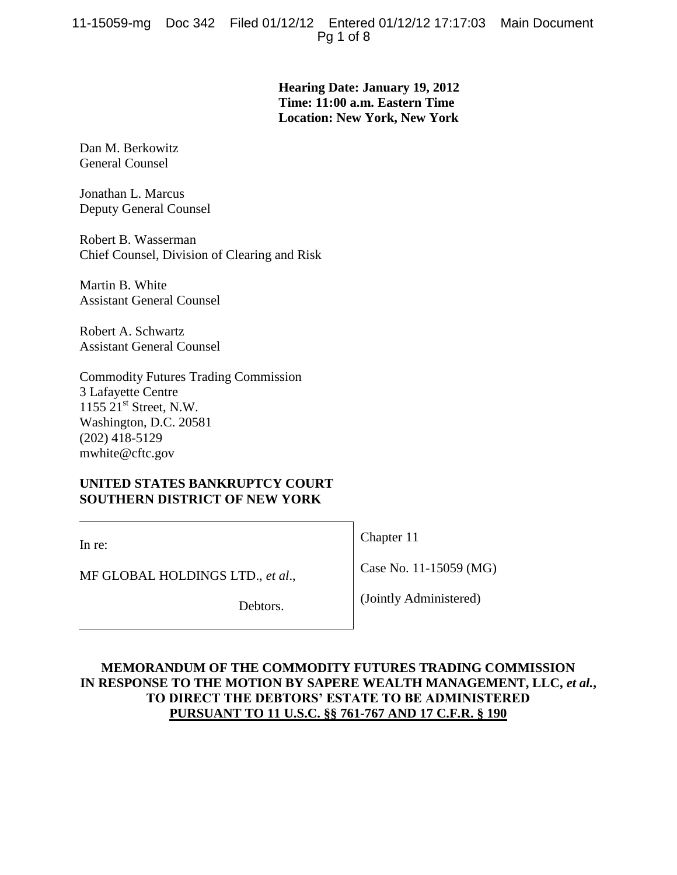**Hearing Date: January 19, 2012 Time: 11:00 a.m. Eastern Time Location: New York, New York**

Dan M. Berkowitz General Counsel

Jonathan L. Marcus Deputy General Counsel

Robert B. Wasserman Chief Counsel, Division of Clearing and Risk

Martin B. White Assistant General Counsel

Robert A. Schwartz Assistant General Counsel

Commodity Futures Trading Commission 3 Lafayette Centre 1155  $21<sup>st</sup>$  Street, N.W. Washington, D.C. 20581 (202) 418-5129 mwhite@cftc.gov

# **UNITED STATES BANKRUPTCY COURT SOUTHERN DISTRICT OF NEW YORK**

In re:

Chapter 11

Case No. 11-15059 (MG)

MF GLOBAL HOLDINGS LTD., *et al*.,

Debtors.

(Jointly Administered)

# **MEMORANDUM OF THE COMMODITY FUTURES TRADING COMMISSION IN RESPONSE TO THE MOTION BY SAPERE WEALTH MANAGEMENT, LLC,** *et al.***, TO DIRECT THE DEBTORS' ESTATE TO BE ADMINISTERED PURSUANT TO 11 U.S.C. §§ 761-767 AND 17 C.F.R. § 190**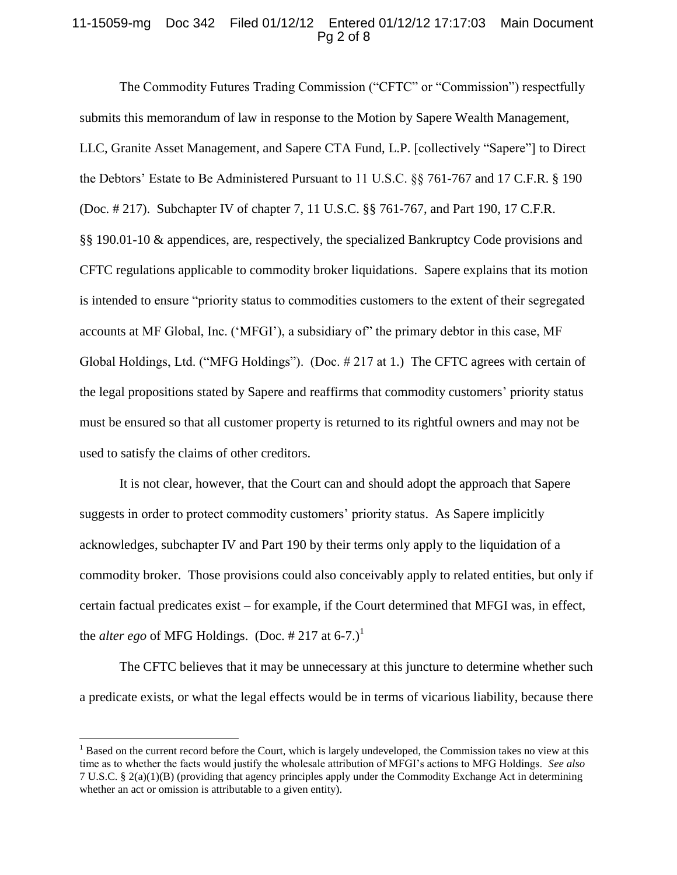### 11-15059-mg Doc 342 Filed 01/12/12 Entered 01/12/12 17:17:03 Main Document Pg 2 of 8

The Commodity Futures Trading Commission ("CFTC" or "Commission") respectfully submits this memorandum of law in response to the Motion by Sapere Wealth Management, LLC, Granite Asset Management, and Sapere CTA Fund, L.P. [collectively "Sapere"] to Direct the Debtors' Estate to Be Administered Pursuant to 11 U.S.C. §§ 761-767 and 17 C.F.R. § 190 (Doc. # 217). Subchapter IV of chapter 7, 11 U.S.C. §§ 761-767, and Part 190, 17 C.F.R. §§ 190.01-10 & appendices, are, respectively, the specialized Bankruptcy Code provisions and CFTC regulations applicable to commodity broker liquidations. Sapere explains that its motion is intended to ensure "priority status to commodities customers to the extent of their segregated accounts at MF Global, Inc. ('MFGI'), a subsidiary of" the primary debtor in this case, MF Global Holdings, Ltd. ("MFG Holdings"). (Doc. # 217 at 1.) The CFTC agrees with certain of the legal propositions stated by Sapere and reaffirms that commodity customers' priority status must be ensured so that all customer property is returned to its rightful owners and may not be used to satisfy the claims of other creditors.

It is not clear, however, that the Court can and should adopt the approach that Sapere suggests in order to protect commodity customers' priority status. As Sapere implicitly acknowledges, subchapter IV and Part 190 by their terms only apply to the liquidation of a commodity broker. Those provisions could also conceivably apply to related entities, but only if certain factual predicates exist – for example, if the Court determined that MFGI was, in effect, the *alter ego* of MFG Holdings. (Doc. # 217 at 6-7.)<sup>1</sup>

The CFTC believes that it may be unnecessary at this juncture to determine whether such a predicate exists, or what the legal effects would be in terms of vicarious liability, because there

 $\overline{a}$ 

 $<sup>1</sup>$  Based on the current record before the Court, which is largely undeveloped, the Commission takes no view at this</sup> time as to whether the facts would justify the wholesale attribution of MFGI's actions to MFG Holdings. *See also*  7 U.S.C. § 2(a)(1)(B) (providing that agency principles apply under the Commodity Exchange Act in determining whether an act or omission is attributable to a given entity).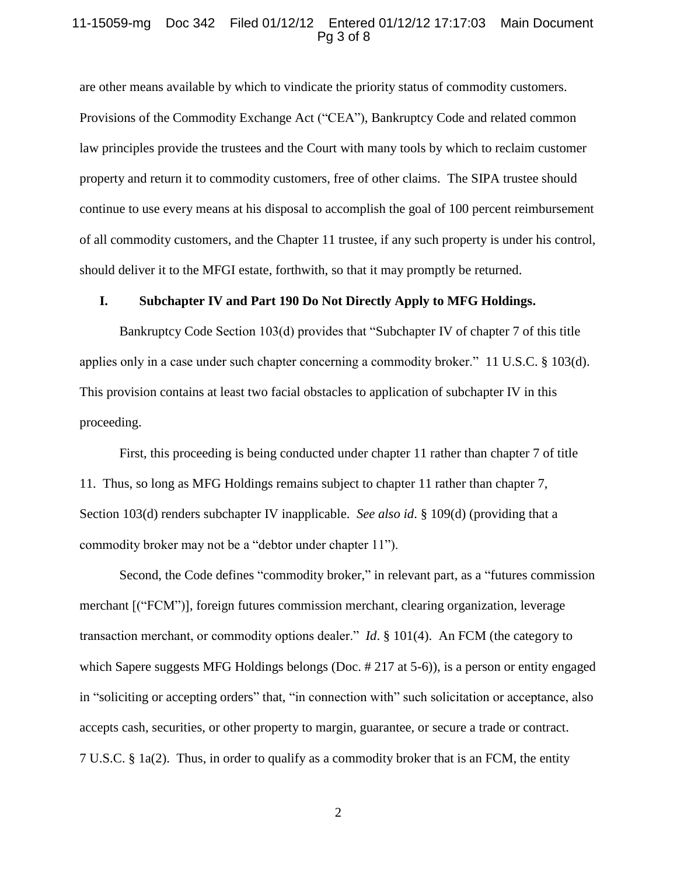#### 11-15059-mg Doc 342 Filed 01/12/12 Entered 01/12/12 17:17:03 Main Document Pg 3 of 8

are other means available by which to vindicate the priority status of commodity customers. Provisions of the Commodity Exchange Act ("CEA"), Bankruptcy Code and related common law principles provide the trustees and the Court with many tools by which to reclaim customer property and return it to commodity customers, free of other claims. The SIPA trustee should continue to use every means at his disposal to accomplish the goal of 100 percent reimbursement of all commodity customers, and the Chapter 11 trustee, if any such property is under his control, should deliver it to the MFGI estate, forthwith, so that it may promptly be returned.

#### **I. Subchapter IV and Part 190 Do Not Directly Apply to MFG Holdings.**

Bankruptcy Code Section 103(d) provides that "Subchapter IV of chapter 7 of this title applies only in a case under such chapter concerning a commodity broker." 11 U.S.C. § 103(d). This provision contains at least two facial obstacles to application of subchapter IV in this proceeding.

First, this proceeding is being conducted under chapter 11 rather than chapter 7 of title 11. Thus, so long as MFG Holdings remains subject to chapter 11 rather than chapter 7, Section 103(d) renders subchapter IV inapplicable. *See also id*. § 109(d) (providing that a commodity broker may not be a "debtor under chapter 11").

Second, the Code defines "commodity broker," in relevant part, as a "futures commission merchant [("FCM")], foreign futures commission merchant, clearing organization, leverage transaction merchant, or commodity options dealer." *Id*. § 101(4). An FCM (the category to which Sapere suggests MFG Holdings belongs (Doc. #217 at 5-6)), is a person or entity engaged in "soliciting or accepting orders" that, "in connection with" such solicitation or acceptance, also accepts cash, securities, or other property to margin, guarantee, or secure a trade or contract. 7 U.S.C. § 1a(2). Thus, in order to qualify as a commodity broker that is an FCM, the entity

2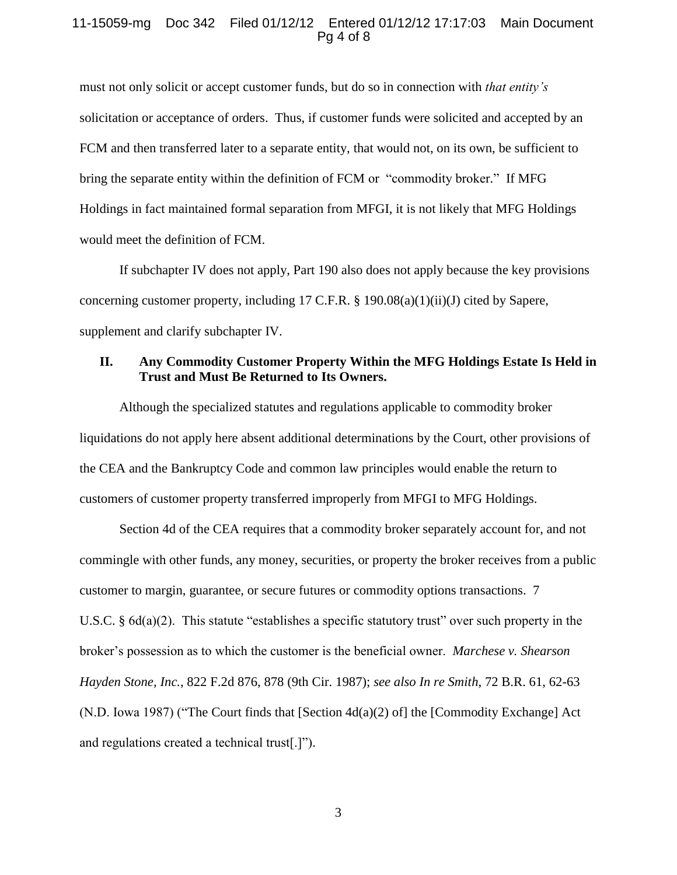#### 11-15059-mg Doc 342 Filed 01/12/12 Entered 01/12/12 17:17:03 Main Document Pg 4 of 8

must not only solicit or accept customer funds, but do so in connection with *that entity's*  solicitation or acceptance of orders. Thus, if customer funds were solicited and accepted by an FCM and then transferred later to a separate entity, that would not, on its own, be sufficient to bring the separate entity within the definition of FCM or "commodity broker." If MFG Holdings in fact maintained formal separation from MFGI, it is not likely that MFG Holdings would meet the definition of FCM.

If subchapter IV does not apply, Part 190 also does not apply because the key provisions concerning customer property, including 17 C.F.R. § 190.08(a)(1)(ii)(J) cited by Sapere, supplement and clarify subchapter IV.

## **II. Any Commodity Customer Property Within the MFG Holdings Estate Is Held in Trust and Must Be Returned to Its Owners.**

Although the specialized statutes and regulations applicable to commodity broker liquidations do not apply here absent additional determinations by the Court, other provisions of the CEA and the Bankruptcy Code and common law principles would enable the return to customers of customer property transferred improperly from MFGI to MFG Holdings.

Section 4d of the CEA requires that a commodity broker separately account for, and not commingle with other funds, any money, securities, or property the broker receives from a public customer to margin, guarantee, or secure futures or commodity options transactions. 7 U.S.C. § 6d(a)(2). This statute "establishes a specific statutory trust" over such property in the broker's possession as to which the customer is the beneficial owner. *Marchese v. Shearson Hayden Stone, Inc.*, 822 F.2d 876, 878 (9th Cir. 1987); *see also In re Smith*, 72 B.R. 61, 62-63 (N.D. Iowa 1987) ("The Court finds that [Section 4d(a)(2) of] the [Commodity Exchange] Act and regulations created a technical trust[.]").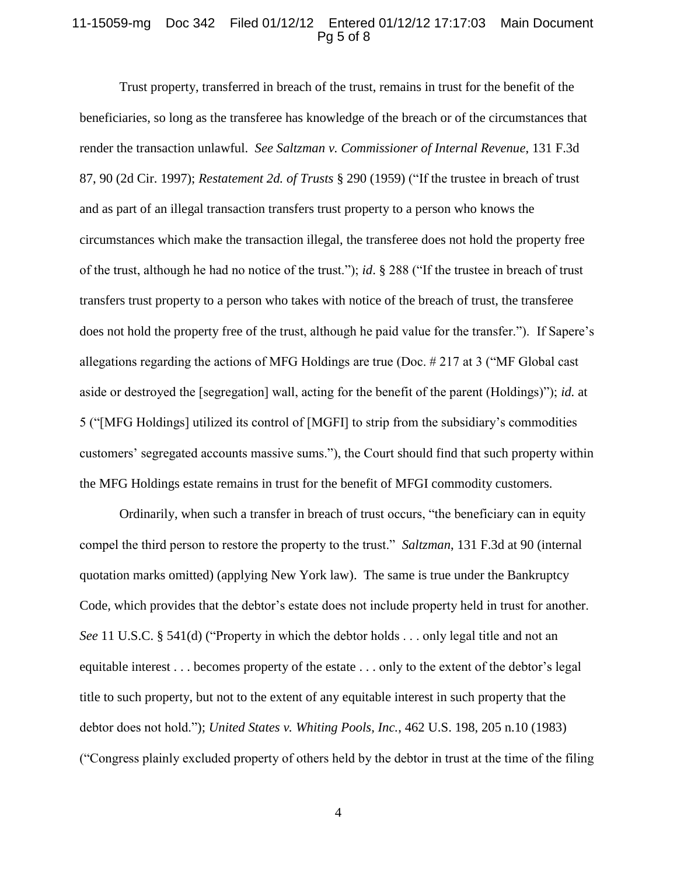#### 11-15059-mg Doc 342 Filed 01/12/12 Entered 01/12/12 17:17:03 Main Document Pg 5 of 8

Trust property, transferred in breach of the trust, remains in trust for the benefit of the beneficiaries, so long as the transferee has knowledge of the breach or of the circumstances that render the transaction unlawful. *See Saltzman v. Commissioner of Internal Revenue*, 131 F.3d 87, 90 (2d Cir. 1997); *Restatement 2d. of Trusts* § 290 (1959) ("If the trustee in breach of trust and as part of an illegal transaction transfers trust property to a person who knows the circumstances which make the transaction illegal, the transferee does not hold the property free of the trust, although he had no notice of the trust."); *id*. § 288 ("If the trustee in breach of trust transfers trust property to a person who takes with notice of the breach of trust, the transferee does not hold the property free of the trust, although he paid value for the transfer."). If Sapere's allegations regarding the actions of MFG Holdings are true (Doc. # 217 at 3 ("MF Global cast aside or destroyed the [segregation] wall, acting for the benefit of the parent (Holdings)"); *id.* at 5 ("[MFG Holdings] utilized its control of [MGFI] to strip from the subsidiary's commodities customers' segregated accounts massive sums."), the Court should find that such property within the MFG Holdings estate remains in trust for the benefit of MFGI commodity customers.

Ordinarily, when such a transfer in breach of trust occurs, "the beneficiary can in equity compel the third person to restore the property to the trust." *Saltzman*, 131 F.3d at 90 (internal quotation marks omitted) (applying New York law). The same is true under the Bankruptcy Code, which provides that the debtor's estate does not include property held in trust for another. *See* 11 U.S.C. § 541(d) ("Property in which the debtor holds . . . only legal title and not an equitable interest . . . becomes property of the estate . . . only to the extent of the debtor's legal title to such property, but not to the extent of any equitable interest in such property that the debtor does not hold."); *United States v. Whiting Pools, Inc.*, 462 U.S. 198, 205 n.10 (1983) ("Congress plainly excluded property of others held by the debtor in trust at the time of the filing

4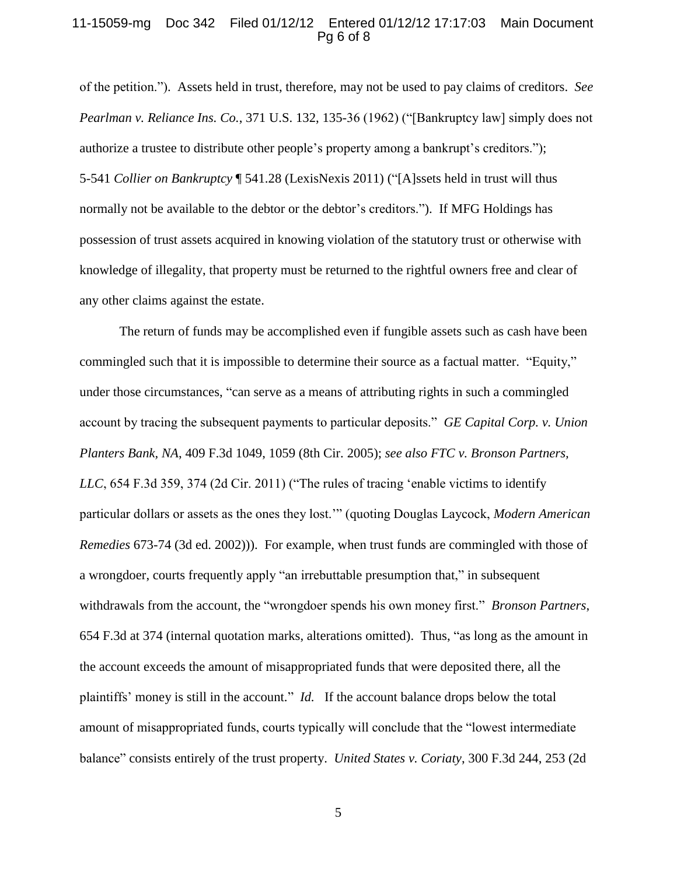#### 11-15059-mg Doc 342 Filed 01/12/12 Entered 01/12/12 17:17:03 Main Document Pg 6 of 8

of the petition."). Assets held in trust, therefore, may not be used to pay claims of creditors. *See Pearlman v. Reliance Ins. Co.*, 371 U.S. 132, 135-36 (1962) ("[Bankruptcy law] simply does not authorize a trustee to distribute other people's property among a bankrupt's creditors."); 5-541 *Collier on Bankruptcy* ¶ 541.28 (LexisNexis 2011) ("[A]ssets held in trust will thus normally not be available to the debtor or the debtor's creditors."). If MFG Holdings has possession of trust assets acquired in knowing violation of the statutory trust or otherwise with knowledge of illegality, that property must be returned to the rightful owners free and clear of any other claims against the estate.

The return of funds may be accomplished even if fungible assets such as cash have been commingled such that it is impossible to determine their source as a factual matter. "Equity," under those circumstances, "can serve as a means of attributing rights in such a commingled account by tracing the subsequent payments to particular deposits." *GE Capital Corp. v. Union Planters Bank, NA*, 409 F.3d 1049, 1059 (8th Cir. 2005); *see also FTC v. Bronson Partners, LLC*, 654 F.3d 359, 374 (2d Cir. 2011) ("The rules of tracing 'enable victims to identify particular dollars or assets as the ones they lost.'" (quoting Douglas Laycock, *Modern American Remedies* 673-74 (3d ed. 2002))). For example, when trust funds are commingled with those of a wrongdoer, courts frequently apply "an irrebuttable presumption that," in subsequent withdrawals from the account, the "wrongdoer spends his own money first." *Bronson Partners*, 654 F.3d at 374 (internal quotation marks, alterations omitted). Thus, "as long as the amount in the account exceeds the amount of misappropriated funds that were deposited there, all the plaintiffs' money is still in the account." *Id.* If the account balance drops below the total amount of misappropriated funds, courts typically will conclude that the "lowest intermediate balance" consists entirely of the trust property. *United States v. Coriaty*, 300 F.3d 244, 253 (2d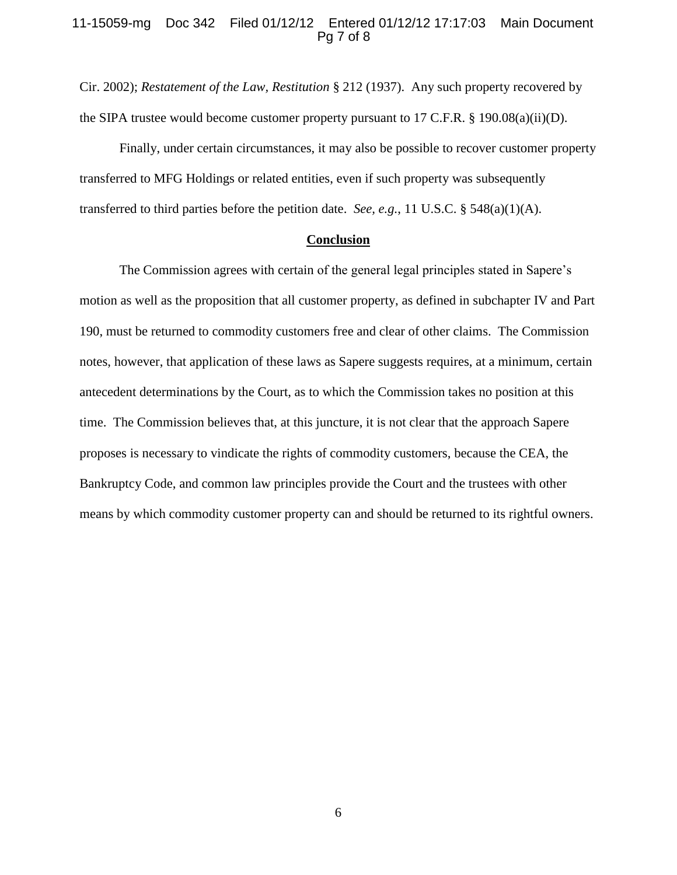#### 11-15059-mg Doc 342 Filed 01/12/12 Entered 01/12/12 17:17:03 Main Document Pg 7 of 8

Cir. 2002); *Restatement of the Law, Restitution* § 212 (1937). Any such property recovered by the SIPA trustee would become customer property pursuant to 17 C.F.R. § 190.08(a)(ii)(D).

Finally, under certain circumstances, it may also be possible to recover customer property transferred to MFG Holdings or related entities, even if such property was subsequently transferred to third parties before the petition date. *See, e.g.*, 11 U.S.C. § 548(a)(1)(A).

#### **Conclusion**

The Commission agrees with certain of the general legal principles stated in Sapere's motion as well as the proposition that all customer property, as defined in subchapter IV and Part 190, must be returned to commodity customers free and clear of other claims. The Commission notes, however, that application of these laws as Sapere suggests requires, at a minimum, certain antecedent determinations by the Court, as to which the Commission takes no position at this time. The Commission believes that, at this juncture, it is not clear that the approach Sapere proposes is necessary to vindicate the rights of commodity customers, because the CEA, the Bankruptcy Code, and common law principles provide the Court and the trustees with other means by which commodity customer property can and should be returned to its rightful owners.